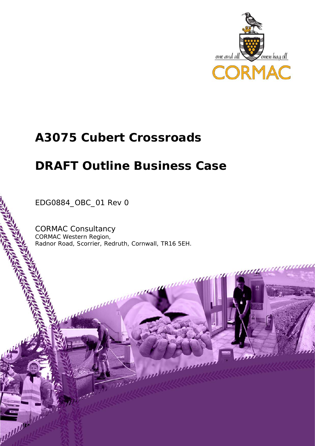

## **A3075 Cubert Crossroads**

# **DRAFT Outline Business Case**

EDG0884\_OBC\_01 Rev 0

шш

pullular!

CORMAC Consultancy CORMAC Western Region, Radnor Road, Scorrier, Redruth, Cornwall, TR16 5EH.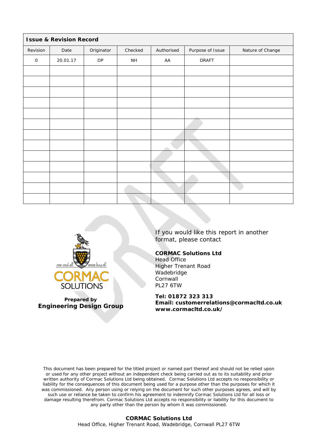| <b>Issue &amp; Revision Record</b> |          |            |                 |            |                  |                  |  |  |
|------------------------------------|----------|------------|-----------------|------------|------------------|------------------|--|--|
| Revision                           | Date     | Originator | Checked         | Authorised | Purpose of Issue | Nature of Change |  |  |
| $\mathsf O$                        | 20.01.17 | ${\sf DP}$ | $\mathsf{NH}\,$ | AA         | <b>DRAFT</b>     |                  |  |  |
|                                    |          |            |                 |            |                  |                  |  |  |
|                                    |          |            |                 |            |                  |                  |  |  |
|                                    |          |            |                 |            |                  |                  |  |  |
|                                    |          |            |                 |            |                  |                  |  |  |
|                                    |          |            |                 |            |                  |                  |  |  |
|                                    |          |            |                 |            |                  |                  |  |  |
|                                    |          |            |                 |            |                  |                  |  |  |
|                                    |          |            |                 |            |                  |                  |  |  |
|                                    |          |            |                 |            |                  |                  |  |  |
|                                    |          |            |                 |            |                  |                  |  |  |
|                                    |          |            |                 |            |                  |                  |  |  |
|                                    |          |            |                 |            |                  |                  |  |  |
|                                    |          |            |                 |            |                  |                  |  |  |
|                                    |          |            |                 |            |                  |                  |  |  |



**Prepared by Engineering Design Group**

If you would like this report in another format, please contact

#### **CORMAC Solutions Ltd**

Head Office Higher Trenant Road Wadebridge **Cornwall** PL27 6TW

**Tel: 01872 323 313**

**Email: customerrelations@cormacltd.co.uk www.cormacltd.co.uk/**

This document has been prepared for the titled project or named part thereof and should not be relied upon or used for any other project without an independent check being carried out as to its suitability and prior written authority of Cormac Solutions Ltd being obtained. Cormac Solutions Ltd accepts no responsibility or liability for the consequences of this document being used for a purpose other than the purposes for which it was commissioned. Any person using or relying on the document for such other purposes agrees, and will by such use or reliance be taken to confirm his agreement to indemnify Cormac Solutions Ltd for all loss or damage resulting therefrom. Cormac Solutions Ltd accepts no responsibility or liability for this document to any party other than the person by whom it was commissioned.

#### **CORMAC Solutions Ltd** Head Office, Higher Trenant Road, Wadebridge, Cornwall PL27 6TW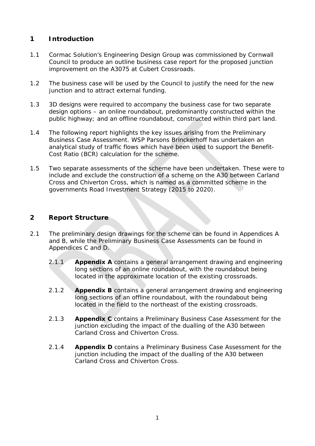## **1 Introduction**

- 1.1 Cormac Solution's Engineering Design Group was commissioned by Cornwall Council to produce an outline business case report for the proposed junction improvement on the A3075 at Cubert Crossroads.
- 1.2 The business case will be used by the Council to justify the need for the new junction and to attract external funding.
- 1.3 3D designs were required to accompany the business case for two separate design options – an online roundabout, predominantly constructed within the public highway; and an offline roundabout, constructed within third part land.
- 1.4 The following report highlights the key issues arising from the Preliminary Business Case Assessment. WSP Parsons Brinckerhoff has undertaken an analytical study of traffic flows which have been used to support the Benefit-Cost Ratio (BCR) calculation for the scheme.
- 1.5 Two separate assessments of the scheme have been undertaken. These were to include and exclude the construction of a scheme on the A30 between Carland Cross and Chiverton Cross, which is named as a committed scheme in the governments Road Investment Strategy (2015 to 2020).

#### **2 Report Structure**

- 2.1 The preliminary design drawings for the scheme can be found in Appendices A and B, while the Preliminary Business Case Assessments can be found in Appendices C and D.
	- 2.1.1 **Appendix A** contains a general arrangement drawing and engineering long sections of an online roundabout, with the roundabout being located in the approximate location of the existing crossroads.
	- 2.1.2 **Appendix B** contains a general arrangement drawing and engineering long sections of an offline roundabout, with the roundabout being located in the field to the northeast of the existing crossroads.
	- 2.1.3 **Appendix C** contains a Preliminary Business Case Assessment for the junction excluding the impact of the dualling of the A30 between Carland Cross and Chiverton Cross.
	- 2.1.4 **Appendix D** contains a Preliminary Business Case Assessment for the junction including the impact of the dualling of the A30 between Carland Cross and Chiverton Cross.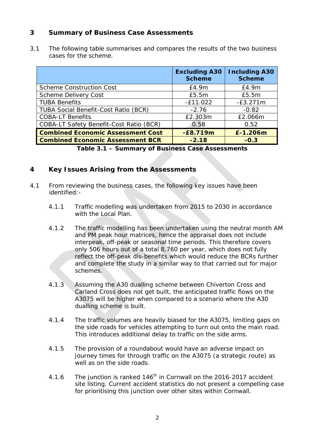#### **3 Summary of Business Case Assessments**

3.1 The following table summarises and compares the results of the two business cases for the scheme.

|                                             | <b>Excluding A30</b><br><b>Scheme</b> | <b>Including A30</b><br><b>Scheme</b> |
|---------------------------------------------|---------------------------------------|---------------------------------------|
| <b>Scheme Construction Cost</b>             | E4.9m                                 | £4.9m                                 |
| Scheme Delivery Cost                        | £5.5m                                 | £5.5m                                 |
| <b>TUBA Benefits</b>                        | $-E11.022$                            | $-E3.271m$                            |
| <b>TUBA Social Benefit-Cost Ratio (BCR)</b> | $-2.76$                               | $-0.82$                               |
| <b>COBA-LT Benefits</b>                     | £2.303m                               | £2.066m                               |
| COBA-LT Safety Benefit-Cost Ratio (BCR)     | 0.58                                  | 0.52                                  |
| <b>Combined Economic Assessment Cost</b>    | $-E8.719m$                            | £-1.206m                              |
| <b>Combined Economic Assessment BCR</b>     | $-2.18$                               | $-0.3$                                |

**Table 3.1 – Summary of Business Case Assessments**

#### **4 Key Issues Arising from the Assessments**

- 4.1 From reviewing the business cases, the following key issues have been identified:-
	- 4.1.1 Traffic modelling was undertaken from 2015 to 2030 in accordance with the Local Plan.
	- 4.1.2 The traffic modelling has been undertaken using the neutral month AM and PM peak hour matrices, hence the appraisal does not include interpeak, off-peak or seasonal time periods. This therefore covers only 506 hours out of a total 8,760 per year, which does not fully reflect the off-peak dis-benefits which would reduce the BCRs further and complete the study in a similar way to that carried out for major schemes.
	- 4.1.3 Assuming the A30 dualling scheme between Chiverton Cross and Carland Cross does not get built, the anticipated traffic flows on the A3075 will be higher when compared to a scenario where the A30 dualling scheme is built.
	- 4.1.4 The traffic volumes are heavily biased for the A3075, limiting gaps on the side roads for vehicles attempting to turn out onto the main road. This introduces additional delay to traffic on the side arms.
	- 4.1.5 The provision of a roundabout would have an adverse impact on journey times for through traffic on the A3075 (a strategic route) as well as on the side roads.
	- 4.1.6 The junction is ranked 146<sup>th</sup> in Cornwall on the 2016-2017 accident site listing. Current accident statistics do not present a compelling case for prioritising this junction over other sites within Cornwall.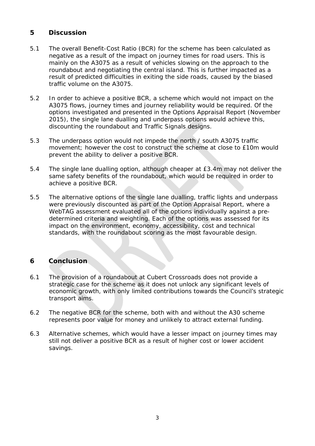#### **5 Discussion**

- 5.1 The overall Benefit-Cost Ratio (BCR) for the scheme has been calculated as negative as a result of the impact on journey times for road users. This is mainly on the A3075 as a result of vehicles slowing on the approach to the roundabout and negotiating the central island. This is further impacted as a result of predicted difficulties in exiting the side roads, caused by the biased traffic volume on the A3075.
- 5.2 In order to achieve a positive BCR, a scheme which would not impact on the A3075 flows, journey times and journey reliability would be required. Of the options investigated and presented in the Options Appraisal Report (November 2015), the single lane dualling and underpass options would achieve this, discounting the roundabout and Traffic Signals designs.
- 5.3 The underpass option would not impede the north / south A3075 traffic movement; however the cost to construct the scheme at close to £10m would prevent the ability to deliver a positive BCR.
- 5.4 The single lane dualling option, although cheaper at £3.4m may not deliver the same safety benefits of the roundabout, which would be required in order to achieve a positive BCR.
- 5.5 The alternative options of the single lane dualling, traffic lights and underpass were previously discounted as part of the Option Appraisal Report, where a WebTAG assessment evaluated all of the options individually against a predetermined criteria and weighting. Each of the options was assessed for its impact on the environment, economy, accessibility, cost and technical standards, with the roundabout scoring as the most favourable design.

### **6 Conclusion**

- 6.1 The provision of a roundabout at Cubert Crossroads does not provide a strategic case for the scheme as it does not unlock any significant levels of economic growth, with only limited contributions towards the Council's strategic transport aims.
- 6.2 The negative BCR for the scheme, both with and without the A30 scheme represents poor value for money and unlikely to attract external funding.
- 6.3 Alternative schemes, which would have a lesser impact on journey times may still not deliver a positive BCR as a result of higher cost or lower accident savings.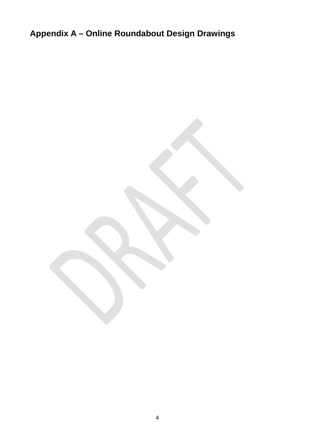**Appendix A – Online Roundabout Design Drawings**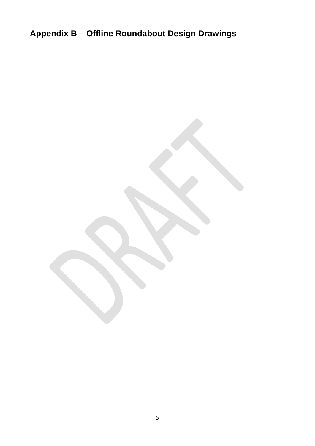**Appendix B – Offline Roundabout Design Drawings**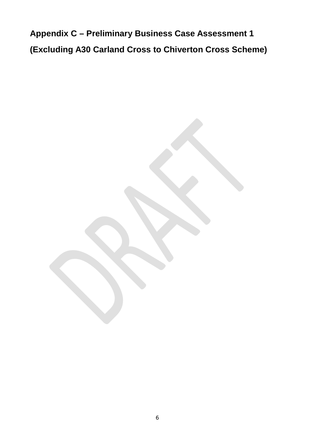**Appendix C – Preliminary Business Case Assessment 1 (Excluding A30 Carland Cross to Chiverton Cross Scheme)**